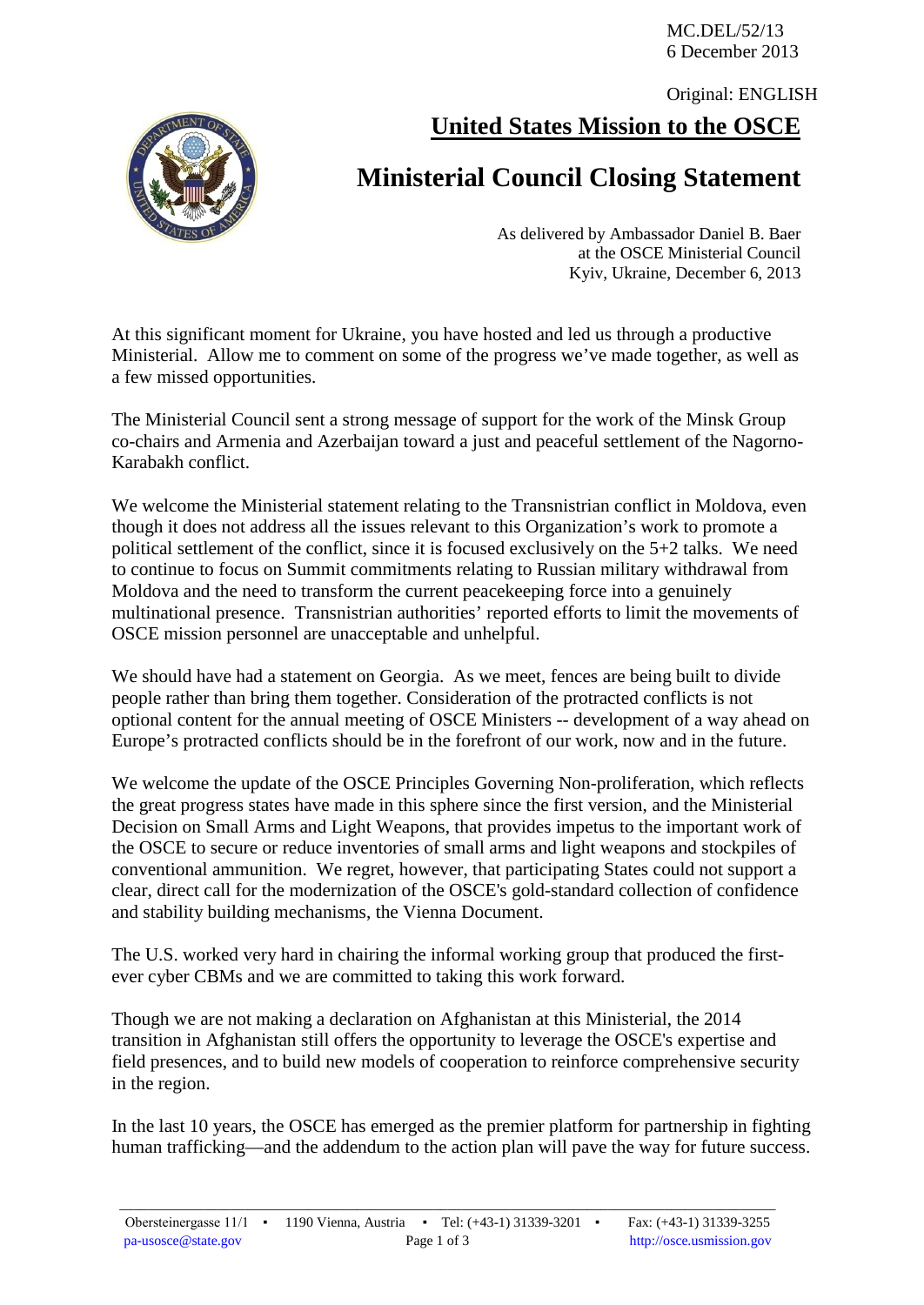MC.DEL/52/13 6 December 2013

**United States Mission to the OSCE** Original: ENGLISH



## **Ministerial Council Closing Statement**

As delivered by Ambassador Daniel B. Baer at the OSCE Ministerial Council Kyiv, Ukraine, December 6, 2013

At this significant moment for Ukraine, you have hosted and led us through a productive Ministerial. Allow me to comment on some of the progress we've made together, as well as a few missed opportunities.

The Ministerial Council sent a strong message of support for the work of the Minsk Group co-chairs and Armenia and Azerbaijan toward a just and peaceful settlement of the Nagorno-Karabakh conflict.

We welcome the Ministerial statement relating to the Transnistrian conflict in Moldova, even though it does not address all the issues relevant to this Organization's work to promote a political settlement of the conflict, since it is focused exclusively on the 5+2 talks. We need to continue to focus on Summit commitments relating to Russian military withdrawal from Moldova and the need to transform the current peacekeeping force into a genuinely multinational presence. Transnistrian authorities' reported efforts to limit the movements of OSCE mission personnel are unacceptable and unhelpful.

We should have had a statement on Georgia. As we meet, fences are being built to divide people rather than bring them together. Consideration of the protracted conflicts is not optional content for the annual meeting of OSCE Ministers -- development of a way ahead on Europe's protracted conflicts should be in the forefront of our work, now and in the future.

We welcome the update of the OSCE Principles Governing Non-proliferation, which reflects the great progress states have made in this sphere since the first version, and the Ministerial Decision on Small Arms and Light Weapons, that provides impetus to the important work of the OSCE to secure or reduce inventories of small arms and light weapons and stockpiles of conventional ammunition. We regret, however, that participating States could not support a clear, direct call for the modernization of the OSCE's gold-standard collection of confidence and stability building mechanisms, the Vienna Document.

The U.S. worked very hard in chairing the informal working group that produced the firstever cyber CBMs and we are committed to taking this work forward.

Though we are not making a declaration on Afghanistan at this Ministerial, the 2014 transition in Afghanistan still offers the opportunity to leverage the OSCE's expertise and field presences, and to build new models of cooperation to reinforce comprehensive security in the region.

In the last 10 years, the OSCE has emerged as the premier platform for partnership in fighting human trafficking—and the addendum to the action plan will pave the way for future success.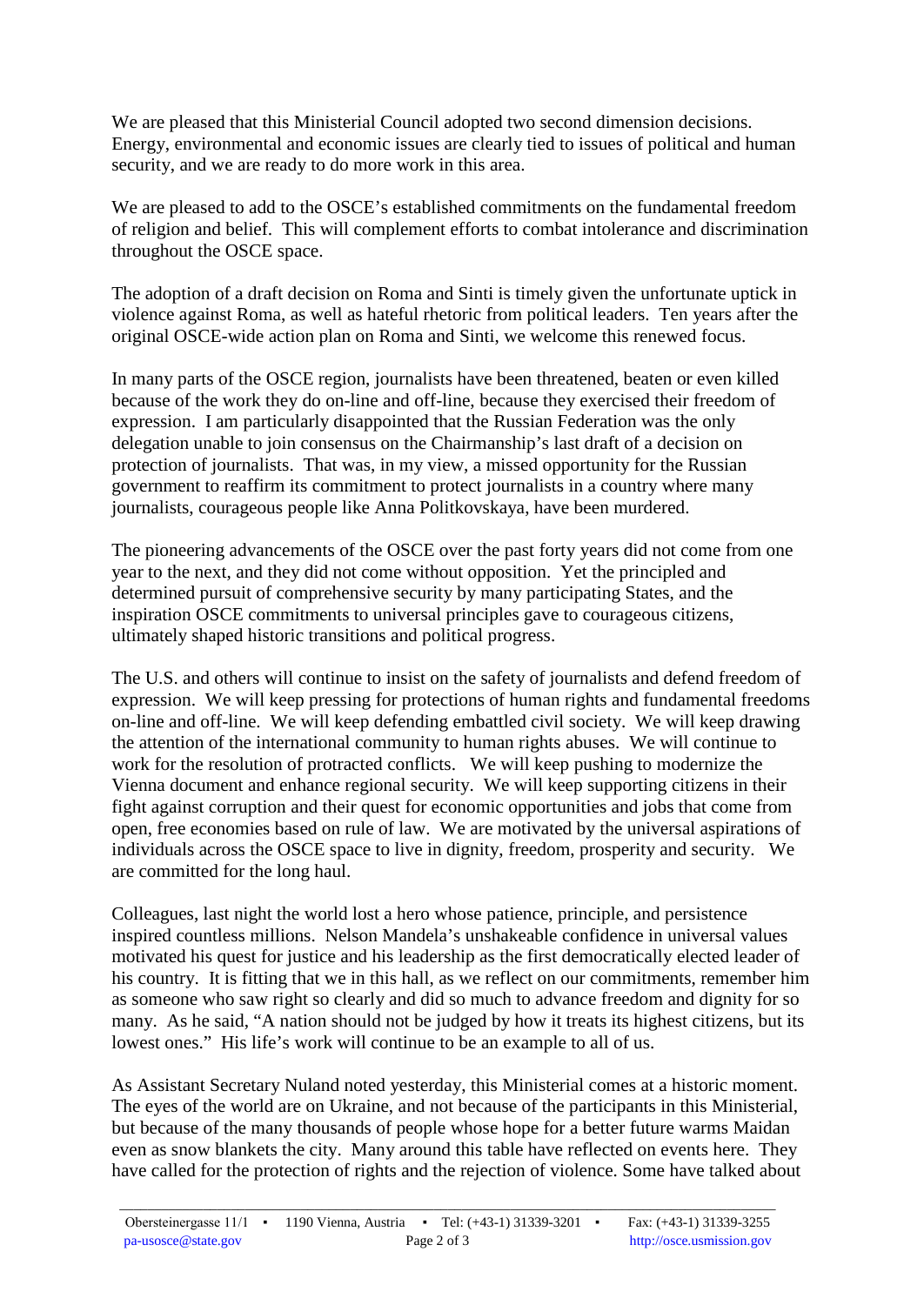We are pleased that this Ministerial Council adopted two second dimension decisions. Energy, environmental and economic issues are clearly tied to issues of political and human security, and we are ready to do more work in this area.

We are pleased to add to the OSCE's established commitments on the fundamental freedom of religion and belief. This will complement efforts to combat intolerance and discrimination throughout the OSCE space.

The adoption of a draft decision on Roma and Sinti is timely given the unfortunate uptick in violence against Roma, as well as hateful rhetoric from political leaders. Ten years after the original OSCE-wide action plan on Roma and Sinti, we welcome this renewed focus.

In many parts of the OSCE region, journalists have been threatened, beaten or even killed because of the work they do on-line and off-line, because they exercised their freedom of expression. I am particularly disappointed that the Russian Federation was the only delegation unable to join consensus on the Chairmanship's last draft of a decision on protection of journalists. That was, in my view, a missed opportunity for the Russian government to reaffirm its commitment to protect journalists in a country where many journalists, courageous people like Anna Politkovskaya, have been murdered.

The pioneering advancements of the OSCE over the past forty years did not come from one year to the next, and they did not come without opposition. Yet the principled and determined pursuit of comprehensive security by many participating States, and the inspiration OSCE commitments to universal principles gave to courageous citizens, ultimately shaped historic transitions and political progress.

The U.S. and others will continue to insist on the safety of journalists and defend freedom of expression. We will keep pressing for protections of human rights and fundamental freedoms on-line and off-line. We will keep defending embattled civil society. We will keep drawing the attention of the international community to human rights abuses. We will continue to work for the resolution of protracted conflicts. We will keep pushing to modernize the Vienna document and enhance regional security. We will keep supporting citizens in their fight against corruption and their quest for economic opportunities and jobs that come from open, free economies based on rule of law. We are motivated by the universal aspirations of individuals across the OSCE space to live in dignity, freedom, prosperity and security. We are committed for the long haul.

Colleagues, last night the world lost a hero whose patience, principle, and persistence inspired countless millions. Nelson Mandela's unshakeable confidence in universal values motivated his quest for justice and his leadership as the first democratically elected leader of his country. It is fitting that we in this hall, as we reflect on our commitments, remember him as someone who saw right so clearly and did so much to advance freedom and dignity for so many. As he said, "A nation should not be judged by how it treats its highest citizens, but its lowest ones." His life's work will continue to be an example to all of us.

As Assistant Secretary Nuland noted yesterday, this Ministerial comes at a historic moment. The eyes of the world are on Ukraine, and not because of the participants in this Ministerial, but because of the many thousands of people whose hope for a better future warms Maidan even as snow blankets the city. Many around this table have reflected on events here. They have called for the protection of rights and the rejection of violence. Some have talked about